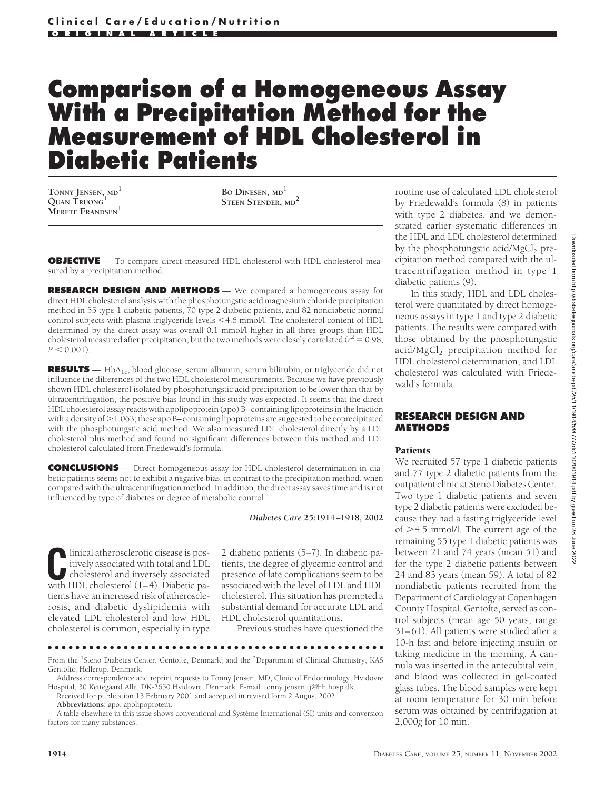# **Comparison of a Homogeneous Assay With a Precipitation Method for the Measurement of HDL Cholesterol in Diabetic Patients**

**TONNY JENSEN, MD**<sup>1</sup> **QUAN TRUONG**<sup>1</sup> **MERETE FRANDSEN**<sup>1</sup>

**BO DINESEN, MD**<sup>1</sup> **STEEN STENDER, MD<sup>2</sup>**

**OBJECTIVE** — To compare direct-measured HDL cholesterol with HDL cholesterol measured by a precipitation method.

**RESEARCH DESIGN AND METHODS** — We compared a homogeneous assay for direct HDL cholesterol analysis with the phosphotungstic acid magnesium chloride precipitation method in 55 type 1 diabetic patients, 70 type 2 diabetic patients, and 82 nondiabetic normal control subjects with plasma triglyceride levels <4.6 mmol/l. The cholesterol content of HDL determined by the direct assay was overall 0.1 mmol/l higher in all three groups than HDL cholesterol measured after precipitation, but the two methods were closely correlated ( $r^2 = 0.98$ ,  $P < 0.001$ ).

RESULTS — HbA<sub>1c</sub>, blood glucose, serum albumin, serum bilirubin, or triglyceride did not influence the differences of the two HDL cholesterol measurements. Because we have previously shown HDL cholesterol isolated by phosphotungstic acid precipitation to be lower than that by ultracentrifugation, the positive bias found in this study was expected. It seems that the direct HDL cholesterol assay reacts with apolipoprotein (apo) B–containing lipoproteins in the fraction with a density of  $>$  1.063; these apo B–containing lipoproteins are suggested to be coprecipitated with the phosphotungstic acid method. We also measured LDL cholesterol directly by a LDL cholesterol plus method and found no significant differences between this method and LDL cholesterol calculated from Friedewald's formula.

**CONCLUSIONS** — Direct homogeneous assay for HDL cholesterol determination in diabetic patients seems not to exhibit a negative bias, in contrast to the precipitation method, when compared with the ultracentrifugation method. In addition, the direct assay saves time and is not influenced by type of diabetes or degree of metabolic control.

*Diabetes Care* **25:1914–1918, 2002**

linical atherosclerotic disease is positively associated with total and LDL cholesterol and inversely associated with HDL cholesterol (1–4). Diabetic patients have an increased risk of atherosclerosis, and diabetic dyslipidemia with elevated LDL cholesterol and low HDL cholesterol is common, especially in type

2 diabetic patients (5–7). In diabetic patients, the degree of glycemic control and presence of late complications seem to be associated with the level of LDL and HDL cholesterol. This situation has prompted a substantial demand for accurate LDL and HDL cholesterol quantitations.

Previous studies have questioned the

●●●●●●●●●●●●●●●●●●●●●●●●●●●●●●●●●●●●●●●●●●●●●●●●● From the <sup>1</sup>Steno Diabetes Center, Gentofte, Denmark; and the <sup>2</sup>Department of Clinical Chemistry, KAS Gentofte, Hellerup, Denmark.

Address correspondence and reprint requests to Tonny Jensen, MD, Clinic of Endocrinology, Hvidovre Hospital, 30 Kettegaard Alle, DK-2650 Hvidovre, Denmark. E-mail: tonny.jensen.tj@hh.hosp.dk.

Received for publication 13 February 2001 and accepted in revised form 2 August 2002.

**Abbreviations:** apo, apolipoprotein.

A table elsewhere in this issue shows conventional and Système International (SI) units and conversion factors for many substances.

routine use of calculated LDL cholesterol by Friedewald's formula (8) in patients with type 2 diabetes, and we demonstrated earlier systematic differences in the HDL and LDL cholesterol determined by the phosphotungstic acid/ $MgCl<sub>2</sub>$  precipitation method compared with the ultracentrifugation method in type 1 diabetic patients (9).

In this study, HDL and LDL cholesterol were quantitated by direct homogeneous assays in type 1 and type 2 diabetic patients. The results were compared with those obtained by the phosphotungstic acid/MgCl<sub>2</sub> precipitation method for HDL cholesterol determination, and LDL cholesterol was calculated with Friedewald's formula.

## **RESEARCH DESIGN AND METHODS**

## Patients

We recruited 57 type 1 diabetic patients and 77 type 2 diabetic patients from the outpatient clinic at Steno Diabetes Center. Two type 1 diabetic patients and seven type 2 diabetic patients were excluded because they had a fasting triglyceride level of  $>4.5$  mmol/l. The current age of the remaining 55 type 1 diabetic patients was between 21 and 74 years (mean 51) and for the type 2 diabetic patients between 24 and 83 years (mean 59). A total of 82 nondiabetic patients recruited from the Department of Cardiology at Copenhagen County Hospital, Gentofte, served as control subjects (mean age 50 years, range 31–61). All patients were studied after a 10-h fast and before injecting insulin or taking medicine in the morning. A cannula was inserted in the antecubital vein, and blood was collected in gel-coated glass tubes. The blood samples were kept at room temperature for 30 min before serum was obtained by centrifugation at 2,000*g* for 10 min.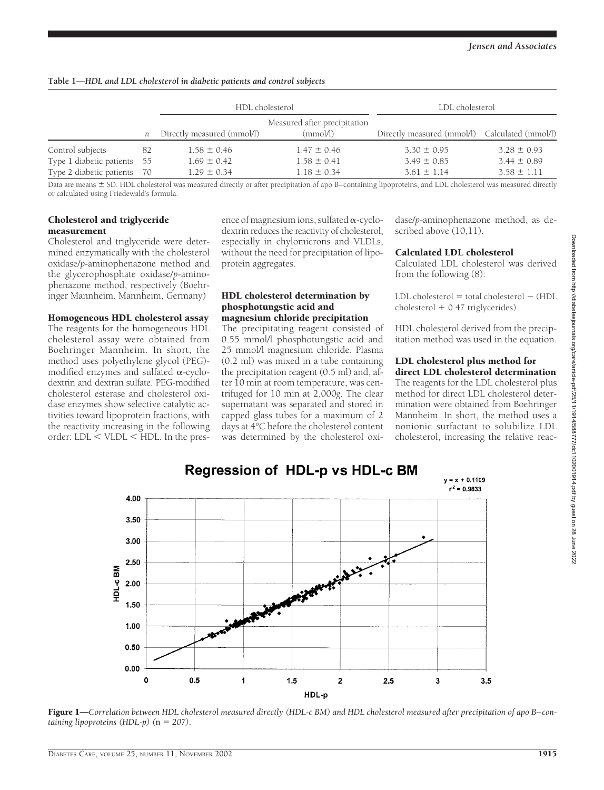|                             |      | HDL cholesterol            |                                          | LDL cholesterol                                |                 |
|-----------------------------|------|----------------------------|------------------------------------------|------------------------------------------------|-----------------|
|                             | n    | Directly measured (mmol/l) | Measured after precipitation<br>(mmol/l) | Directly measured (mmol/l) Calculated (mmol/l) |                 |
| Control subjects            | -82  | $1.58 \pm 0.46$            | $1.47 \pm 0.46$                          | $3.30 \pm 0.95$                                | $3.28 \pm 0.93$ |
| Type 1 diabetic patients    | - 55 | $1.69 \pm 0.42$            | $1.58 \pm 0.41$                          | $3.49 \pm 0.85$                                | $3.44 \pm 0.89$ |
| Type 2 diabetic patients 70 |      | $1.29 \pm 0.34$            | $1.18 \pm 0.34$                          | $3.61 \pm 1.14$                                | $3.58 \pm 1.11$ |

**Table 1—***HDL and LDL cholesterol in diabetic patients and control subjects*

Data are means  $\pm$  SD. HDL cholesterol was measured directly or after precipitation of apo B–containing lipoproteins, and LDL cholesterol was measured directly or calculated using Friedewald's formula.

## Cholesterol and triglyceride measurement

Cholesterol and triglyceride were determined enzymatically with the cholesterol oxidase/*p*-aminophenazone method and the glycerophosphate oxidase/*p*-aminophenazone method, respectively (Boehringer Mannheim, Mannheim, Germany)

Homogeneous HDL cholesterol assay

The reagents for the homogeneous HDL cholesterol assay were obtained from Boehringer Mannheim. In short, the method uses polyethylene glycol (PEG) modified enzymes and sulfated  $\alpha$ -cyclodextrin and dextran sulfate. PEG-modified cholesterol esterase and cholesterol oxidase enzymes show selective catalytic activities toward lipoprotein fractions, with the reactivity increasing in the following order: LDL < VLDL < HDL. In the presence of magnesium ions, sulfated  $\alpha$ -cyclodextrin reduces the reactivity of cholesterol, especially in chylomicrons and VLDLs, without the need for precipitation of lipoprotein aggregates.

## HDL cholesterol determination by phosphotungstic acid and magnesium chloride precipitation

The precipitating reagent consisted of 0.55 mmol/l phosphotungstic acid and 25 mmol/l magnesium chloride. Plasma (0.2 ml) was mixed in a tube containing the precipitation reagent (0.5 ml) and, after 10 min at room temperature, was centrifuged for 10 min at 2,000*g*. The clear supernatant was separated and stored in capped glass tubes for a maximum of 2 days at 4°C before the cholesterol content was determined by the cholesterol oxidase/*p*-aminophenazone method, as described above (10,11).

## Calculated LDL cholesterol

Calculated LDL cholesterol was derived from the following (8):

 $LDL$  cholesterol  $=$  total cholesterol  $-$  (HDL  $cholesterol + 0.47$  triglycerides)

HDL cholesterol derived from the precipitation method was used in the equation.

#### LDL cholesterol plus method for direct LDL cholesterol determination

The reagents for the LDL cholesterol plus method for direct LDL cholesterol determination were obtained from Boehringer Mannheim. In short, the method uses a nonionic surfactant to solubilize LDL cholesterol, increasing the relative reac-



Figure 1—Correlation between HDL cholesterol measured directly (HDL-c BM) and HDL cholesterol measured after precipitation of apo B-con*taining lipoproteins (HDL-p)*  $(n = 207)$ .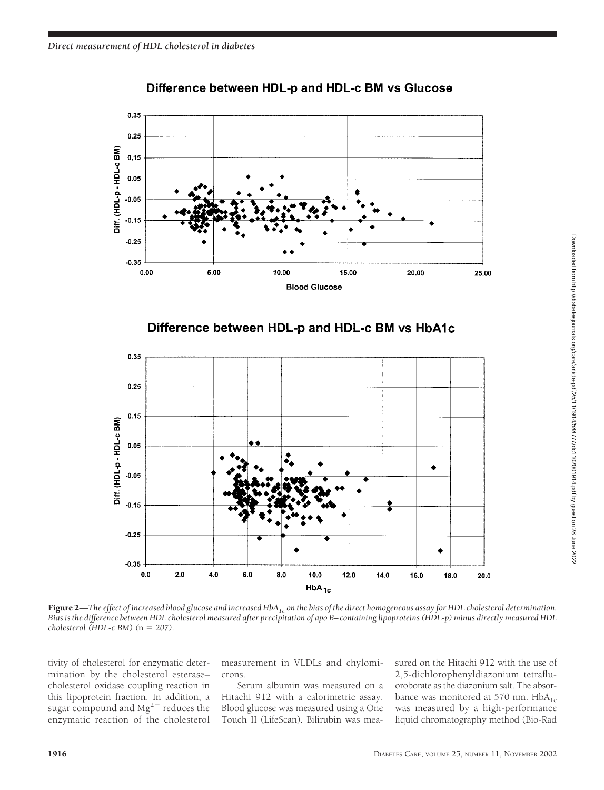

## Difference between HDL-p and HDL-c BM vs Glucose





Figure 2—The effect of increased blood glucose and increased HbA<sub>1c</sub> on the bias of the direct homogeneous assay for HDL cholesterol determination. *Bias is the difference between HDL cholesterol measured after precipitation of apo B–containing lipoproteins (HDL-p) minus directly measured HDL cholesterol* (*HDL-c BM*) ( $n = 207$ ).

tivity of cholesterol for enzymatic determination by the cholesterol esterase– cholesterol oxidase coupling reaction in this lipoprotein fraction. In addition, a sugar compound and  $Mg^{2+}$  reduces the enzymatic reaction of the cholesterol

measurement in VLDLs and chylomicrons.

Serum albumin was measured on a Hitachi 912 with a calorimetric assay. Blood glucose was measured using a One Touch II (LifeScan). Bilirubin was measured on the Hitachi 912 with the use of 2,5-dichlorophenyldiazonium tetrafluoroborate as the diazonium salt. The absorbance was monitored at 570 nm.  $HbA_{1c}$ was measured by a high-performance liquid chromatography method (Bio-Rad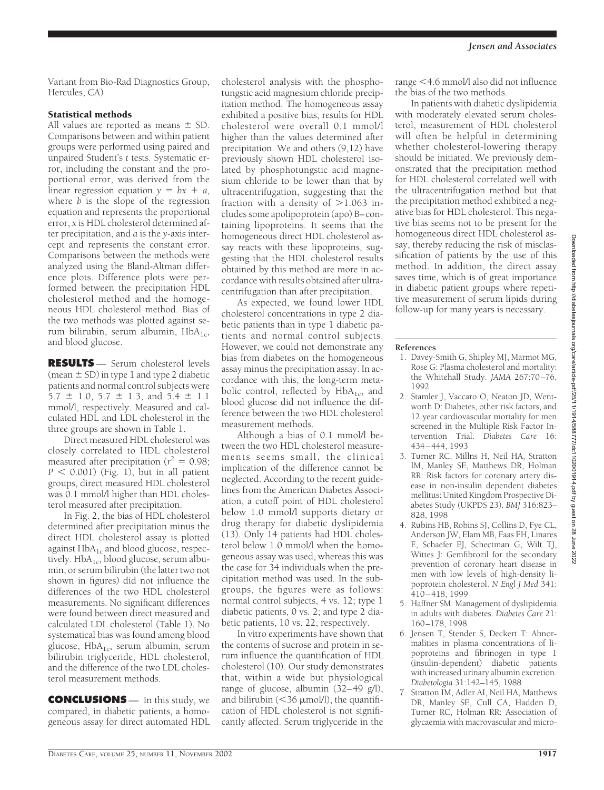Variant from Bio-Rad Diagnostics Group, Hercules, CA)

# Statistical methods

All values are reported as means  $\pm$  SD. Comparisons between and within patient groups were performed using paired and unpaired Student's *t* tests. Systematic error, including the constant and the proportional error, was derived from the linear regression equation  $y = bx + a$ , where *b* is the slope of the regression equation and represents the proportional error, *x* is HDL cholesterol determined after precipitation, and *a* is the *y*-axis intercept and represents the constant error. Comparisons between the methods were analyzed using the Bland-Altman difference plots. Difference plots were performed between the precipitation HDL cholesterol method and the homogeneous HDL cholesterol method. Bias of the two methods was plotted against serum bilirubin, serum albumin,  $HbA_{1c}$ , and blood glucose.

**RESULTS** — Serum cholesterol levels (mean  $\pm$  SD) in type 1 and type 2 diabetic patients and normal control subjects were  $5.7 \pm 1.0$ ,  $5.7 \pm 1.3$ , and  $5.4 \pm 1.1$ mmol/l, respectively. Measured and calculated HDL and LDL cholesterol in the three groups are shown in Table 1.

Direct measured HDL cholesterol was closely correlated to HDL cholesterol measured after precipitation ( $r^2 = 0.98$ ;  $P < 0.001$ ) (Fig. 1), but in all patient groups, direct measured HDL cholesterol was 0.1 mmol/l higher than HDL cholesterol measured after precipitation.

In Fig. 2, the bias of HDL cholesterol determined after precipitation minus the direct HDL cholesterol assay is plotted against  $HbA_{1c}$  and blood glucose, respectively. Hb $A_{1c}$ , blood glucose, serum albumin, or serum bilirubin (the latter two not shown in figures) did not influence the differences of the two HDL cholesterol measurements. No significant differences were found between direct measured and calculated LDL cholesterol (Table 1). No systematical bias was found among blood glucose,  $HbA_{1c}$ , serum albumin, serum bilirubin triglyceride, HDL cholesterol, and the difference of the two LDL cholesterol measurement methods.

**CONCLUSIONS** — In this study, we compared, in diabetic patients, a homogeneous assay for direct automated HDL

cholesterol analysis with the phosphotungstic acid magnesium chloride precipitation method. The homogeneous assay exhibited a positive bias; results for HDL cholesterol were overall 0.1 mmol/l higher than the values determined after precipitation. We and others (9,12) have previously shown HDL cholesterol isolated by phosphotungstic acid magnesium chloride to be lower than that by ultracentrifugation, suggesting that the fraction with a density of  $>1.063$  includes some apolipoprotein (apo) B–containing lipoproteins. It seems that the homogeneous direct HDL cholesterol assay reacts with these lipoproteins, suggesting that the HDL cholesterol results obtained by this method are more in accordance with results obtained after ultracentrifugation than after precipitation.

As expected, we found lower HDL cholesterol concentrations in type 2 diabetic patients than in type 1 diabetic patients and normal control subjects. However, we could not demonstrate any bias from diabetes on the homogeneous assay minus the precipitation assay. In accordance with this, the long-term metabolic control, reflected by  $HbA_{1c}$ , and blood glucose did not influence the difference between the two HDL cholesterol measurement methods.

Although a bias of 0.1 mmol/l between the two HDL cholesterol measurements seems small, the clinical implication of the difference cannot be neglected. According to the recent guidelines from the American Diabetes Association, a cutoff point of HDL cholesterol below 1.0 mmol/l supports dietary or drug therapy for diabetic dyslipidemia (13). Only 14 patients had HDL cholesterol below 1.0 mmol/l when the homogeneous assay was used, whereas this was the case for 34 individuals when the precipitation method was used. In the subgroups, the figures were as follows: normal control subjects, 4 vs. 12; type 1 diabetic patients, 0 vs. 2; and type 2 diabetic patients, 10 vs. 22, respectively.

In vitro experiments have shown that the contents of sucrose and protein in serum influence the quantification of HDL cholesterol (10). Our study demonstrates that, within a wide but physiological range of glucose, albumin (32–49 g/l), and bilirubin ( $\leq$ 36  $\mu$ mol/l), the quantification of HDL cholesterol is not significantly affected. Serum triglyceride in the

range <4.6 mmol/l also did not influence the bias of the two methods.

In patients with diabetic dyslipidemia with moderately elevated serum cholesterol, measurement of HDL cholesterol will often be helpful in determining whether cholesterol-lowering therapy should be initiated. We previously demonstrated that the precipitation method for HDL cholesterol correlated well with the ultracentrifugation method but that the precipitation method exhibited a negative bias for HDL cholesterol. This negative bias seems not to be present for the homogeneous direct HDL cholesterol assay, thereby reducing the risk of misclassification of patients by the use of this method. In addition, the direct assay saves time, which is of great importance in diabetic patient groups where repetitive measurement of serum lipids during follow-up for many years is necessary.

## **References**

- 1. Davey-Smith G, Shipley MJ, Marmot MG, Rose G: Plasma cholesterol and mortality: the Whitehall Study. *JAMA* 267:70–76, 1992
- 2. Stamler J, Vaccaro O, Neaton JD, Wentworth D: Diabetes, other risk factors, and 12 year cardiovascular mortality for men screened in the Multiple Risk Factor Intervention Trial. *Diabetes Care* 16: 434–444, 1993
- 3. Turner RC, Millns H, Neil HA, Stratton IM, Manley SE, Matthews DR, Holman RR: Risk factors for coronary artery disease in non-insulin dependent diabetes mellitus: United Kingdom Prospective Diabetes Study (UKPDS 23). *BMJ* 316:823– 828, 1998
- 4. Rubins HB, Robins SJ, Collins D, Fye CL, Anderson JW, Elam MB, Faas FH, Linares E, Schaefer EJ, Schectman G, Wilt TJ, Wittes J: Gemfibrozil for the secondary prevention of coronary heart disease in men with low levels of high-density lipoprotein cholesterol. *N Engl J Med* 341: 410–418, 1999
- 5. Haffner SM: Management of dyslipidemia in adults with diabetes. *Diabetes Care* 21: 160–178, 1998
- 6. Jensen T, Stender S, Deckert T: Abnormalities in plasma concentrations of lipoproteins and fibrinogen in type 1 (insulin-dependent) diabetic patients with increased urinary albumin excretion. *Diabetologia* 31:142–145, 1988
- 7. Stratton IM, Adler AI, Neil HA, Matthews DR, Manley SE, Cull CA, Hadden D, Turner RC, Holman RR: Association of glycaemia with macrovascular and micro-